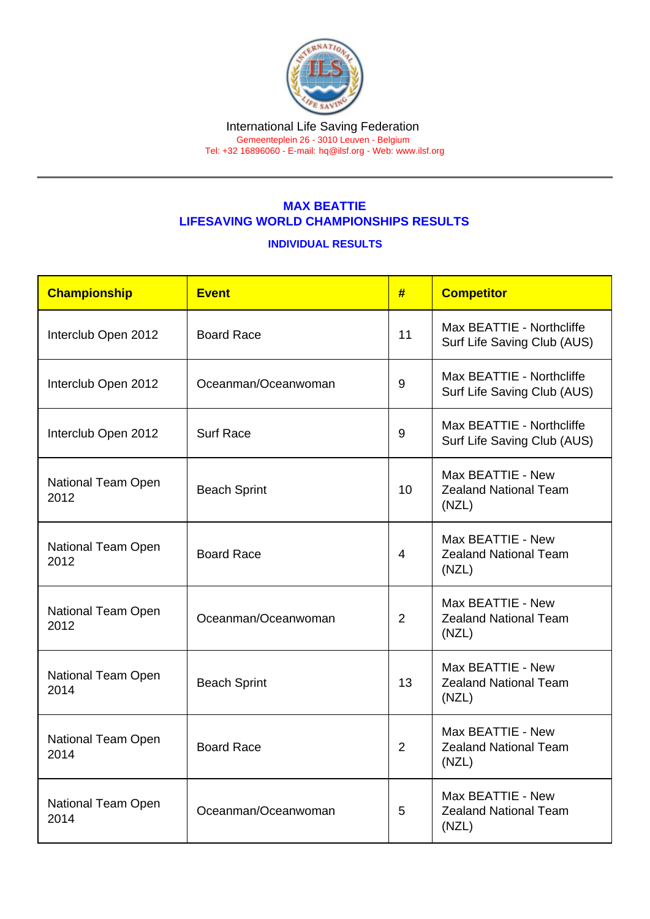Tel: +32 16896060 - E-mail: [hq@ilsf.org](mailto:hq@ilsf.org) - Web: [www.ilsf.org](https://www.ilsf.org)

## MAX BEATTIE LIFESAVING WORLD CHAMPIONSHIPS RESULTS

## INDIVIDUAL RESULTS

| Championship               | <b>Event</b>        | #              | <b>Competitor</b>                                          |
|----------------------------|---------------------|----------------|------------------------------------------------------------|
| Interclub Open 2012        | <b>Board Race</b>   | 11             | Max BEATTIE - Northcliffe<br>Surf Life Saving Club (AUS)   |
| Interclub Open 2012        | Oceanman/Oceanwoman | 9              | Max BEATTIE - Northcliffe<br>Surf Life Saving Club (AUS)   |
| Interclub Open 2012        | <b>Surf Race</b>    | 9              | Max BEATTIE - Northcliffe<br>Surf Life Saving Club (AUS)   |
| National Team Open<br>2012 | <b>Beach Sprint</b> | 10             | Max BEATTIE - New<br><b>Zealand National Team</b><br>(NZL) |
| National Team Open<br>2012 | <b>Board Race</b>   | $\overline{4}$ | Max BEATTIE - New<br><b>Zealand National Team</b><br>(NZL) |
| National Team Open<br>2012 | Oceanman/Oceanwoman | $\overline{2}$ | Max BEATTIE - New<br><b>Zealand National Team</b><br>(NZL) |
| National Team Open<br>2014 | <b>Beach Sprint</b> | 13             | Max BEATTIE - New<br><b>Zealand National Team</b><br>(NZL) |
| National Team Open<br>2014 | <b>Board Race</b>   | $\overline{2}$ | Max BEATTIE - New<br><b>Zealand National Team</b><br>(NZL) |
| National Team Open<br>2014 | Oceanman/Oceanwoman | 5              | Max BEATTIE - New<br><b>Zealand National Team</b><br>(NZL) |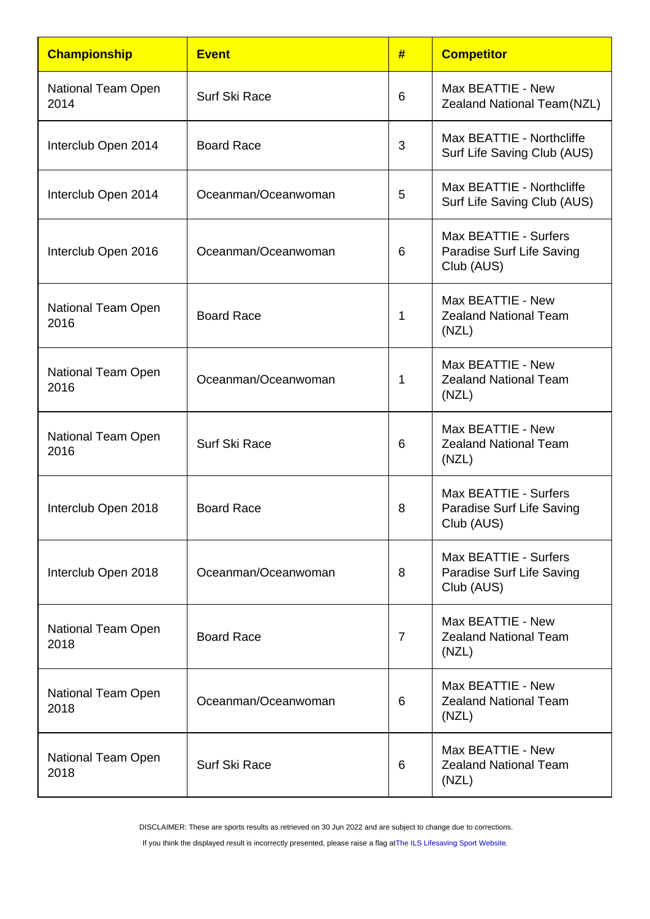| Championship                      | <b>Event</b>        | #              | <b>Competitor</b>                                                |
|-----------------------------------|---------------------|----------------|------------------------------------------------------------------|
| National Team Open<br>2014        | Surf Ski Race       | 6              | Max BEATTIE - New<br>Zealand National Team(NZL)                  |
| Interclub Open 2014               | <b>Board Race</b>   | 3              | Max BEATTIE - Northcliffe<br>Surf Life Saving Club (AUS)         |
| Interclub Open 2014               | Oceanman/Oceanwoman | 5              | Max BEATTIE - Northcliffe<br>Surf Life Saving Club (AUS)         |
| Interclub Open 2016               | Oceanman/Oceanwoman | 6              | Max BEATTIE - Surfers<br>Paradise Surf Life Saving<br>Club (AUS) |
| <b>National Team Open</b><br>2016 | <b>Board Race</b>   | 1              | Max BEATTIE - New<br><b>Zealand National Team</b><br>(NZL)       |
| National Team Open<br>2016        | Oceanman/Oceanwoman | 1              | Max BEATTIE - New<br><b>Zealand National Team</b><br>(NZL)       |
| National Team Open<br>2016        | Surf Ski Race       | 6              | Max BEATTIE - New<br><b>Zealand National Team</b><br>(NZL)       |
| Interclub Open 2018               | <b>Board Race</b>   | 8              | Max BEATTIE - Surfers<br>Paradise Surf Life Saving<br>Club (AUS) |
| Interclub Open 2018               | Oceanman/Oceanwoman | 8              | Max BEATTIE - Surfers<br>Paradise Surf Life Saving<br>Club (AUS) |
| National Team Open<br>2018        | <b>Board Race</b>   | $\overline{7}$ | Max BEATTIE - New<br><b>Zealand National Team</b><br>(NZL)       |
| National Team Open<br>2018        | Oceanman/Oceanwoman | 6              | Max BEATTIE - New<br><b>Zealand National Team</b><br>(NZL)       |
| National Team Open<br>2018        | Surf Ski Race       | 6              | Max BEATTIE - New<br><b>Zealand National Team</b><br>(NZL)       |

DISCLAIMER: These are sports results as retrieved on 30 Jun 2022 and are subject to change due to corrections.

If you think the displayed result is incorrectly presented, please raise a flag at [The ILS Lifesaving Sport Website.](https://sport.ilsf.org)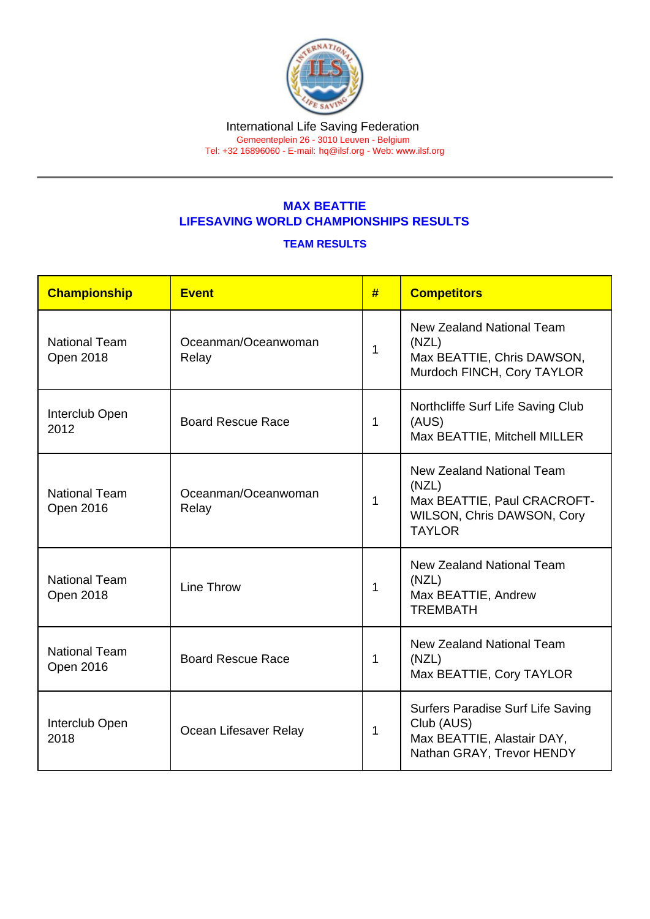Tel: +32 16896060 - E-mail: [hq@ilsf.org](mailto:hq@ilsf.org) - Web: [www.ilsf.org](https://www.ilsf.org)

## MAX BEATTIE LIFESAVING WORLD CHAMPIONSHIPS RESULTS

## TEAM RESULTS

| Championship                             | <b>Event</b>                 | #            | <b>Competitors</b>                                                                                                             |
|------------------------------------------|------------------------------|--------------|--------------------------------------------------------------------------------------------------------------------------------|
| <b>National Team</b><br>Open 2018        | Oceanman/Oceanwoman<br>Relay | 1            | New Zealand National Team<br>(NZL)<br>Max BEATTIE, Chris DAWSON,<br>Murdoch FINCH, Cory TAYLOR                                 |
| Interclub Open<br>2012                   | <b>Board Rescue Race</b>     | $\mathbf 1$  | Northcliffe Surf Life Saving Club<br>(AUS)<br>Max BEATTIE, Mitchell MILLER                                                     |
| <b>National Team</b><br>Open 2016        | Oceanman/Oceanwoman<br>Relay | $\mathbf{1}$ | <b>New Zealand National Team</b><br>(NZL)<br>Max BEATTIE, Paul CRACROFT-<br><b>WILSON, Chris DAWSON, Cory</b><br><b>TAYLOR</b> |
| <b>National Team</b><br><b>Open 2018</b> | Line Throw                   | 1            | <b>New Zealand National Team</b><br>(NZL)<br>Max BEATTIE, Andrew<br><b>TREMBATH</b>                                            |
| <b>National Team</b><br>Open 2016        | <b>Board Rescue Race</b>     | 1            | <b>New Zealand National Team</b><br>(NZL)<br>Max BEATTIE, Cory TAYLOR                                                          |
| Interclub Open<br>2018                   | Ocean Lifesaver Relay        | 1            | Surfers Paradise Surf Life Saving<br>Club (AUS)<br>Max BEATTIE, Alastair DAY,<br>Nathan GRAY, Trevor HENDY                     |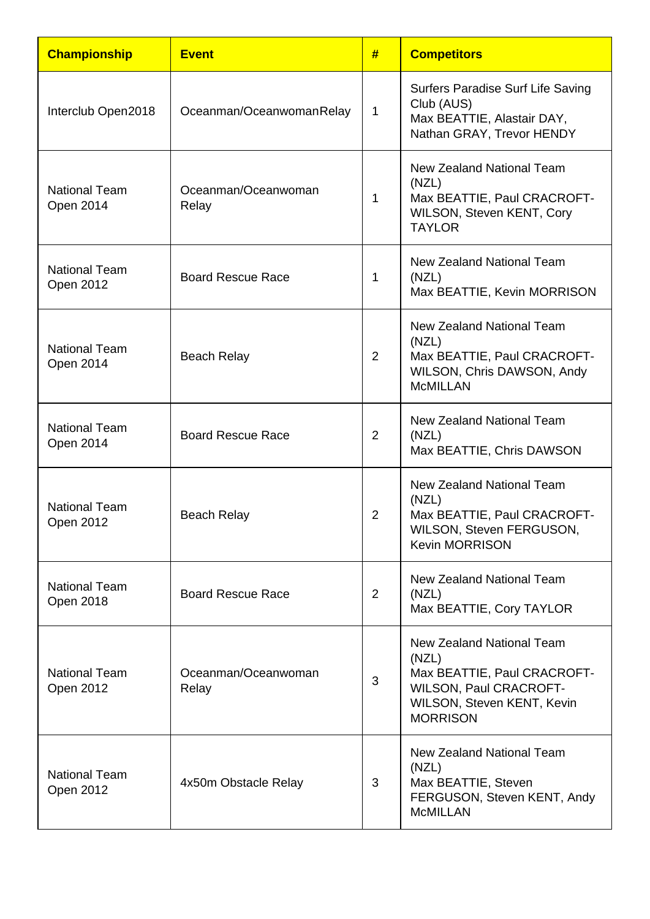| <b>Championship</b>               | <b>Event</b>                 | #              | <b>Competitors</b>                                                                                                                                         |
|-----------------------------------|------------------------------|----------------|------------------------------------------------------------------------------------------------------------------------------------------------------------|
| Interclub Open2018                | Oceanman/OceanwomanRelay     | $\mathbf{1}$   | Surfers Paradise Surf Life Saving<br>Club (AUS)<br>Max BEATTIE, Alastair DAY,<br>Nathan GRAY, Trevor HENDY                                                 |
| <b>National Team</b><br>Open 2014 | Oceanman/Oceanwoman<br>Relay | 1              | <b>New Zealand National Team</b><br>(NZL)<br>Max BEATTIE, Paul CRACROFT-<br>WILSON, Steven KENT, Cory<br><b>TAYLOR</b>                                     |
| <b>National Team</b><br>Open 2012 | <b>Board Rescue Race</b>     | 1              | <b>New Zealand National Team</b><br>(NZL)<br>Max BEATTIE, Kevin MORRISON                                                                                   |
| <b>National Team</b><br>Open 2014 | <b>Beach Relay</b>           | 2              | <b>New Zealand National Team</b><br>(NZL)<br>Max BEATTIE, Paul CRACROFT-<br>WILSON, Chris DAWSON, Andy<br><b>McMILLAN</b>                                  |
| <b>National Team</b><br>Open 2014 | <b>Board Rescue Race</b>     | $\overline{2}$ | <b>New Zealand National Team</b><br>(NZL)<br>Max BEATTIE, Chris DAWSON                                                                                     |
| <b>National Team</b><br>Open 2012 | <b>Beach Relay</b>           | 2              | <b>New Zealand National Team</b><br>(NZL)<br>Max BEATTIE, Paul CRACROFT-<br>WILSON, Steven FERGUSON,<br><b>Kevin MORRISON</b>                              |
| <b>National Team</b><br>Open 2018 | <b>Board Rescue Race</b>     | $\overline{2}$ | <b>New Zealand National Team</b><br>(NZL)<br>Max BEATTIE, Cory TAYLOR                                                                                      |
| <b>National Team</b><br>Open 2012 | Oceanman/Oceanwoman<br>Relay | 3              | <b>New Zealand National Team</b><br>(NZL)<br>Max BEATTIE, Paul CRACROFT-<br><b>WILSON, Paul CRACROFT-</b><br>WILSON, Steven KENT, Kevin<br><b>MORRISON</b> |
| <b>National Team</b><br>Open 2012 | 4x50m Obstacle Relay         | 3              | <b>New Zealand National Team</b><br>(NZL)<br>Max BEATTIE, Steven<br>FERGUSON, Steven KENT, Andy<br><b>McMILLAN</b>                                         |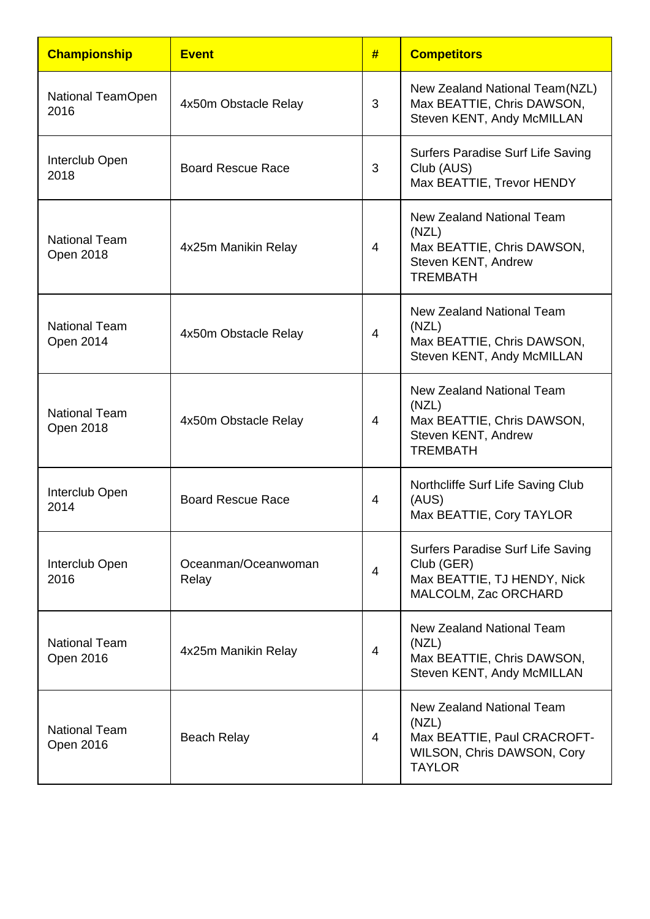| <b>Championship</b>                      | <b>Event</b>                 | #              | <b>Competitors</b>                                                                                                |
|------------------------------------------|------------------------------|----------------|-------------------------------------------------------------------------------------------------------------------|
| National TeamOpen<br>2016                | 4x50m Obstacle Relay         | 3              | New Zealand National Team (NZL)<br>Max BEATTIE, Chris DAWSON,<br>Steven KENT, Andy McMILLAN                       |
| Interclub Open<br>2018                   | <b>Board Rescue Race</b>     | 3              | Surfers Paradise Surf Life Saving<br>Club (AUS)<br>Max BEATTIE, Trevor HENDY                                      |
| <b>National Team</b><br><b>Open 2018</b> | 4x25m Manikin Relay          | 4              | <b>New Zealand National Team</b><br>(NZL)<br>Max BEATTIE, Chris DAWSON,<br>Steven KENT, Andrew<br><b>TREMBATH</b> |
| <b>National Team</b><br>Open 2014        | 4x50m Obstacle Relay         | 4              | <b>New Zealand National Team</b><br>(NZL)<br>Max BEATTIE, Chris DAWSON,<br>Steven KENT, Andy McMILLAN             |
| <b>National Team</b><br>Open 2018        | 4x50m Obstacle Relay         | 4              | <b>New Zealand National Team</b><br>(NZL)<br>Max BEATTIE, Chris DAWSON,<br>Steven KENT, Andrew<br><b>TREMBATH</b> |
| Interclub Open<br>2014                   | <b>Board Rescue Race</b>     | 4              | Northcliffe Surf Life Saving Club<br>(AUS)<br>Max BEATTIE, Cory TAYLOR                                            |
| Interclub Open<br>2016                   | Oceanman/Oceanwoman<br>Relay | $\overline{4}$ | Surfers Paradise Surf Life Saving<br>Club (GER)<br>Max BEATTIE, TJ HENDY, Nick<br>MALCOLM, Zac ORCHARD            |
| <b>National Team</b><br>Open 2016        | 4x25m Manikin Relay          | 4              | New Zealand National Team<br>(NZL)<br>Max BEATTIE, Chris DAWSON,<br>Steven KENT, Andy McMILLAN                    |
| <b>National Team</b><br>Open 2016        | <b>Beach Relay</b>           | 4              | New Zealand National Team<br>(NZL)<br>Max BEATTIE, Paul CRACROFT-<br>WILSON, Chris DAWSON, Cory<br><b>TAYLOR</b>  |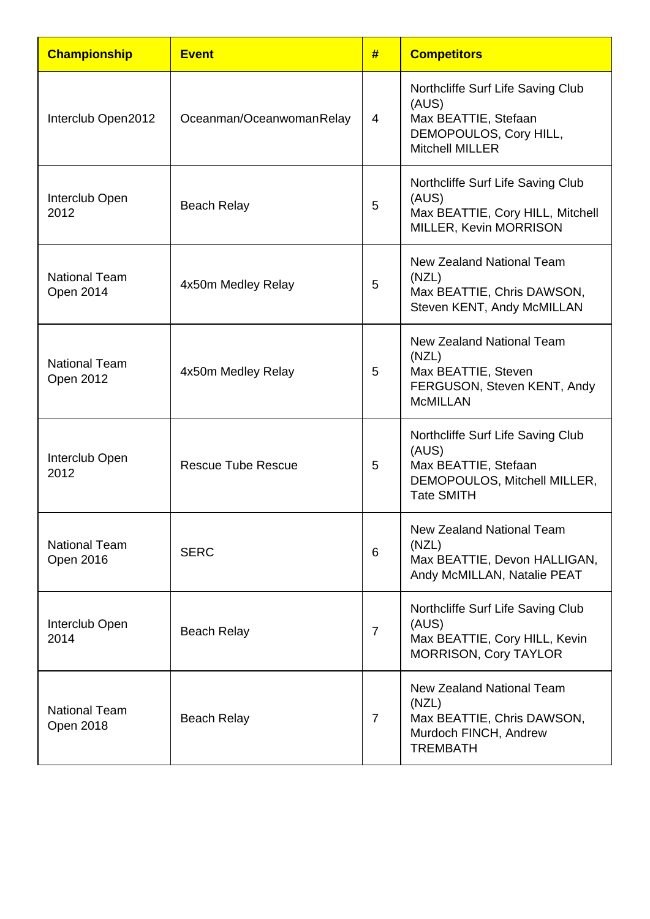| <b>Championship</b>               | <b>Event</b>              | #              | <b>Competitors</b>                                                                                                      |
|-----------------------------------|---------------------------|----------------|-------------------------------------------------------------------------------------------------------------------------|
| Interclub Open2012                | Oceanman/OceanwomanRelay  | 4              | Northcliffe Surf Life Saving Club<br>(AUS)<br>Max BEATTIE, Stefaan<br>DEMOPOULOS, Cory HILL,<br><b>Mitchell MILLER</b>  |
| Interclub Open<br>2012            | <b>Beach Relay</b>        | 5              | Northcliffe Surf Life Saving Club<br>(AUS)<br>Max BEATTIE, Cory HILL, Mitchell<br>MILLER, Kevin MORRISON                |
| <b>National Team</b><br>Open 2014 | 4x50m Medley Relay        | 5              | <b>New Zealand National Team</b><br>(NZL)<br>Max BEATTIE, Chris DAWSON,<br>Steven KENT, Andy McMILLAN                   |
| <b>National Team</b><br>Open 2012 | 4x50m Medley Relay        | 5              | New Zealand National Team<br>(NZL)<br>Max BEATTIE, Steven<br>FERGUSON, Steven KENT, Andy<br><b>McMILLAN</b>             |
| Interclub Open<br>2012            | <b>Rescue Tube Rescue</b> | 5              | Northcliffe Surf Life Saving Club<br>(AUS)<br>Max BEATTIE, Stefaan<br>DEMOPOULOS, Mitchell MILLER,<br><b>Tate SMITH</b> |
| <b>National Team</b><br>Open 2016 | <b>SERC</b>               | 6              | <b>New Zealand National Team</b><br>(NZL)<br>Max BEATTIE, Devon HALLIGAN,<br>Andy McMILLAN, Natalie PEAT                |
| Interclub Open<br>2014            | <b>Beach Relay</b>        | $\overline{7}$ | Northcliffe Surf Life Saving Club<br>(AUS)<br>Max BEATTIE, Cory HILL, Kevin<br><b>MORRISON, Cory TAYLOR</b>             |
| <b>National Team</b><br>Open 2018 | <b>Beach Relay</b>        | $\overline{7}$ | <b>New Zealand National Team</b><br>(NZL)<br>Max BEATTIE, Chris DAWSON,<br>Murdoch FINCH, Andrew<br><b>TREMBATH</b>     |